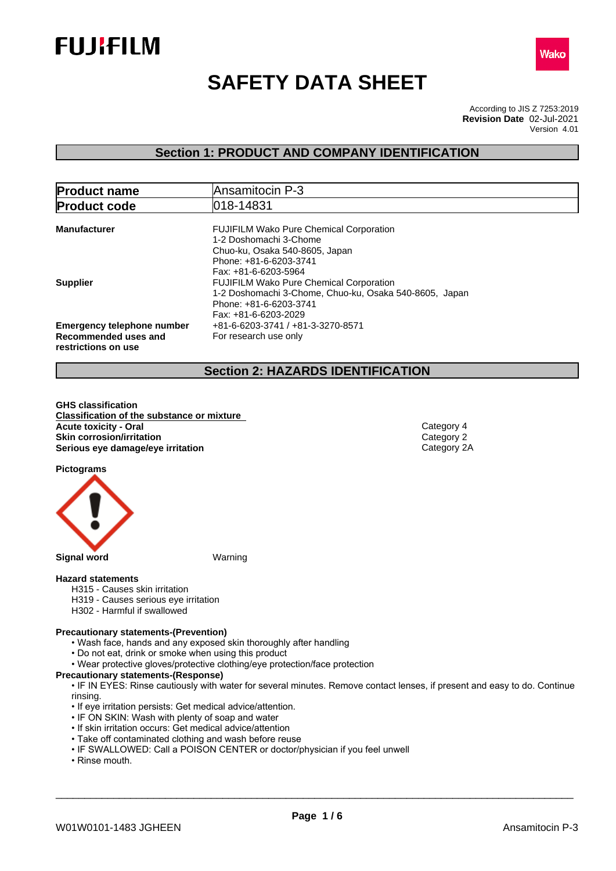



# **SAFETY DATA SHEET**

According to JIS Z 7253:2019 Version 4.01 **Revision Date** 02-Jul-2021

# **Section 1: PRODUCT AND COMPANY IDENTIFICATION**

| <b>Product name</b>                                                              | Ansamitocin P-3                                                                                                                                              |  |  |  |  |
|----------------------------------------------------------------------------------|--------------------------------------------------------------------------------------------------------------------------------------------------------------|--|--|--|--|
| <b>Product code</b>                                                              | 018-14831                                                                                                                                                    |  |  |  |  |
| <b>Manufacturer</b>                                                              | <b>FUJIFILM Wako Pure Chemical Corporation</b><br>1-2 Doshomachi 3-Chome<br>Chuo-ku, Osaka 540-8605, Japan<br>Phone: +81-6-6203-3741<br>Fax: +81-6-6203-5964 |  |  |  |  |
| <b>Supplier</b>                                                                  | <b>FUJIFILM Wako Pure Chemical Corporation</b><br>1-2 Doshomachi 3-Chome, Chuo-ku, Osaka 540-8605, Japan<br>Phone: +81-6-6203-3741<br>Fax: +81-6-6203-2029   |  |  |  |  |
| <b>Emergency telephone number</b><br>Recommended uses and<br>restrictions on use | +81-6-6203-3741 / +81-3-3270-8571<br>For research use only                                                                                                   |  |  |  |  |

# **Section 2: HAZARDS IDENTIFICATION**

**GHS classification Classification of the substance or mixture Acute toxicity - Oral** Category 4<br> **Skin corrosion/irritation**<br>
Category 2 **Skin corrosion/irritation**<br> **Serious eye damage/eye irritation**<br>
Category 2A **Serious** eye damage/eye irritation

**Pictograms**



**Signal word** Warning

# **Hazard statements**

- H315 Causes skin irritation
- H319 Causes serious eye irritation
- H302 Harmful if swallowed

#### **Precautionary statements-(Prevention)**

- Wash face, hands and any exposed skin thoroughly after handling
- Do not eat, drink or smoke when using this product
- Wear protective gloves/protective clothing/eye protection/face protection

# **Precautionary statements-(Response)**

• IF IN EYES: Rinse cautiously with water for several minutes. Remove contact lenses, if present and easy to do. Continue rinsing.

- If eye irritation persists: Get medical advice/attention.
- IF ON SKIN: Wash with plenty of soap and water
- If skin irritation occurs: Get medical advice/attention
- Take off contaminated clothing and wash before reuse
- IF SWALLOWED: Call a POISON CENTER or doctor/physician if you feel unwell
- Rinse mouth.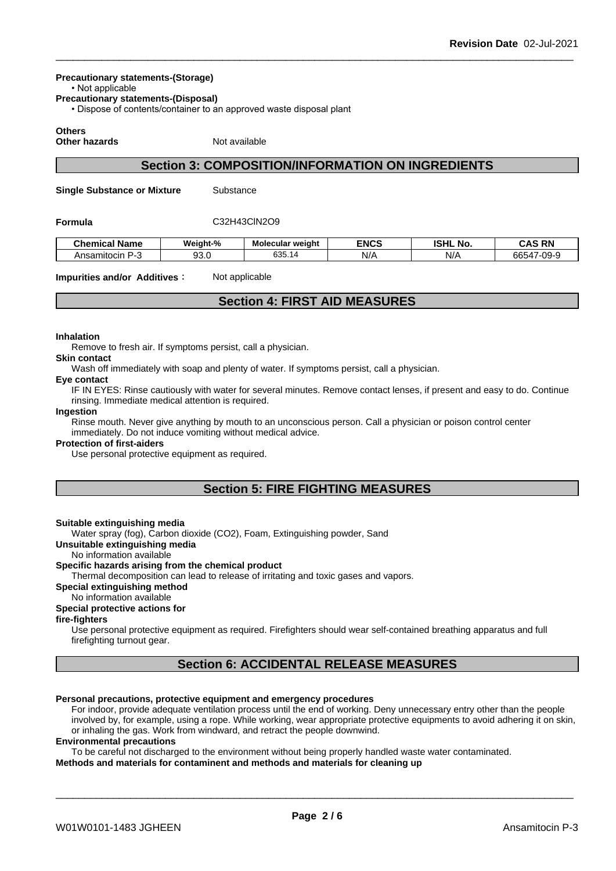#### **Precautionary statements-(Storage)**

• Not applicable

**Precautionary statements-(Disposal)**

• Dispose of contents/container to an approved waste disposal plant

# **Others**

**Other hazards** Not available

# **Section 3: COMPOSITION/INFORMATION ON INGREDIENTS**

**Single Substance or Mixture** Substance

# **Formula** C32H43ClN2O9

| <b>Chemical Name</b>     | Weight-%       | <b>Molecular weight</b> | <b>ENCS</b> | <b>ISHL No.</b> | RN<br>.<br>¬∧ -<br>טרש |
|--------------------------|----------------|-------------------------|-------------|-----------------|------------------------|
| -<br>Ansamitocin.<br>. . | $\sim$<br>ວບ.ບ | 635<br>035.14           | NI/<br>·w.  | N/L<br>.,       | 66547-09-9             |

**Impurities and/or Additives**: Not applicable

# **Section 4: FIRST AID MEASURES**

#### **Inhalation**

Remove to fresh air. If symptoms persist, call a physician.

**Skin contact**

Wash off immediately with soap and plenty of water. If symptoms persist, call a physician.

#### **Eye contact**

IF IN EYES: Rinse cautiously with water for several minutes. Remove contact lenses, if present and easy to do. Continue rinsing. Immediate medical attention is required.

#### **Ingestion**

Rinse mouth. Never give anything by mouth to an unconscious person. Call a physician or poison control center immediately. Do not induce vomiting without medical advice.

#### **Protection of first-aiders**

Use personal protective equipment as required.

# **Section 5: FIRE FIGHTING MEASURES**

#### **Suitable extinguishing media**

Water spray (fog), Carbon dioxide (CO2), Foam, Extinguishing powder, Sand

**Unsuitable extinguishing media**

# No information available

### **Specific hazards arising from the chemical product**

Thermal decomposition can lead to release of irritating and toxic gases and vapors.

# **Special extinguishing method**

# No information available

# **Special protective actions for**

# **fire-fighters**

Use personal protective equipment as required.Firefighters should wear self-contained breathing apparatus and full firefighting turnout gear.

# **Section 6: ACCIDENTAL RELEASE MEASURES**

# **Personal precautions, protective equipment and emergency procedures**

For indoor, provide adequate ventilation process until the end of working. Deny unnecessary entry other than the people involved by, for example, using a rope. While working, wear appropriate protective equipments to avoid adhering it on skin, or inhaling the gas. Work from windward, and retract the people downwind.

#### **Environmental precautions**

To be careful not discharged to the environment without being properly handled waste water contaminated. **Methods and materials for contaminent and methods and materials for cleaning up**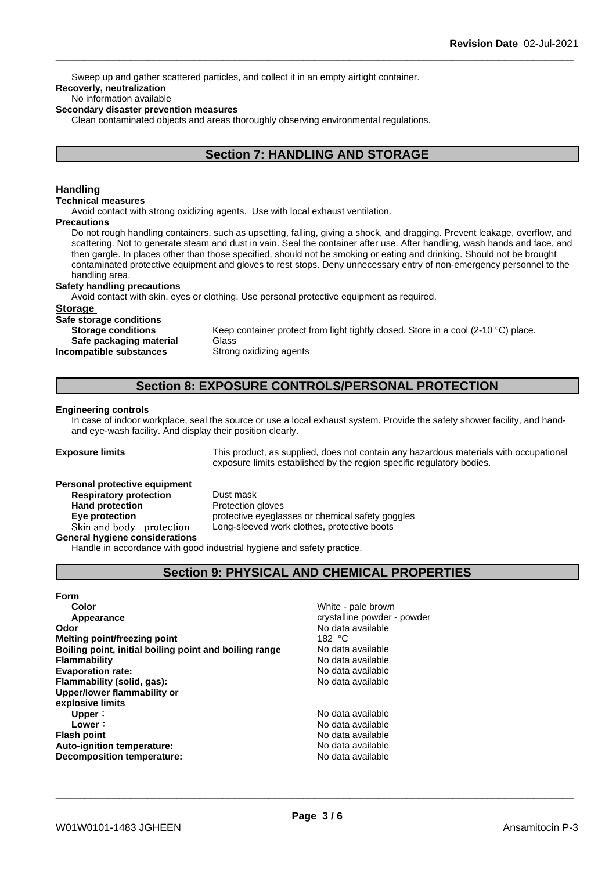Sweep up and gather scattered particles, and collect it in an empty airtight container.

# **Recoverly, neutralization**

# No information available

# **Secondary disaster prevention measures**

Clean contaminated objects and areas thoroughly observing environmental regulations.

# **Section 7: HANDLING AND STORAGE**

# **Handling**

### **Technical measures**

Avoid contact with strong oxidizing agents. Use with local exhaust ventilation.

#### **Precautions**

Do not rough handling containers, such as upsetting, falling, giving a shock, and dragging. Prevent leakage, overflow, and scattering. Not to generate steam and dust in vain. Seal the container after use. After handling, wash hands and face, and then gargle. In places other than those specified, should not be smoking or eating and drinking. Should not be brought contaminated protective equipment and gloves to rest stops. Deny unnecessary entry of non-emergency personnel to the handling area.

# **Safety handling precautions**

Avoid contact with skin, eyes or clothing. Use personal protective equipment as required.

#### **Storage**

**Safe storage conditions Safe packaging material** Glass **Incompatible substances** Strong oxidizing agents

**Storage conditions** Keep container protect from light tightly closed. Store in a cool (2-10 °C) place.

# **Section 8: EXPOSURE CONTROLS/PERSONAL PROTECTION**

#### **Engineering controls**

In case of indoor workplace, seal the source or use a local exhaust system. Provide the safety shower facility, and handand eye-wash facility. And display their position clearly.

**Exposure limits** This product, as supplied, does not contain any hazardous materials with occupational exposure limits established by the region specific regulatory bodies.

#### **Personal protective equipment**

**Respiratory protection** Dust mask **Hand protection** Protection gloves **General hygiene considerations**

**Eye protection** protective eyeglasses or chemical safety goggles Skin and body protection Long-sleeved work clothes, protective boots

Handle in accordance with good industrial hygiene and safety practice.

# **Section 9: PHYSICAL AND CHEMICAL PROPERTIES**

# **Form**

**Color** White - pale brown **Appearance** crystalline powder - powder **Odor Odor** No data available<br> **Melting point/freezing point**<br>
Melting point/freezing point **Melting point/freezing point Melting point**<br>**Rolling point initial boiling point and boiling range** Modata available **Boiling point, initial boiling point and boiling range Flammability** No data available **Evaporation rate:** No data available **Flammability (solid, gas):** No data available **Upper/lower flammability or explosive limits Upper** : No data available **Lower**: No data available **Flash point No data available No data available Auto-ignition temperature:** No data available **Decomposition temperature:** No data available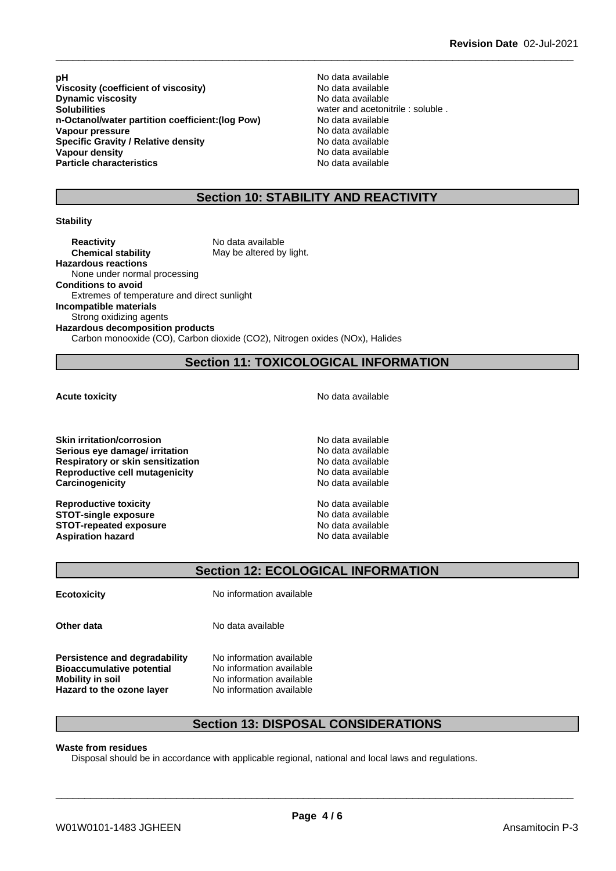**pH** No data available<br>Viscosity (coefficient of viscosity) No data available **Viscosity (coefficient of viscosity)** No data available<br> **Dynamic viscosity** No data available **Dynamic** viscosity **Solubilities** water and acetonitrile : soluble .<br> **n-Octanol/water partition coefficient: (log Pow)** No data available **n-Octanol/water partition coefficient:(log Pow) No data available<br>
Vapour pressure Modata available Vapour pressure Specific Gravity / Relative density and the Specific Gravity No data available**<br> **Vapour density No data available Vapour density Particle characteristics** No data available

# **Section 10: STABILITY AND REACTIVITY**

# **Stability**

**Reactivity** No data available **Chemical stability** May be altered by light. **Hazardous reactions** None under normal processing **Conditions to avoid** Extremes of temperature and direct sunlight **Incompatible materials** Strong oxidizing agents **Hazardous decomposition products** Carbon monooxide (CO), Carbon dioxide (CO2), Nitrogen oxides (NOx), Halides

# **Section 11: TOXICOLOGICAL INFORMATION**

**Skin irritation/corrosion**<br> **Serious eve damage/ irritation**<br> **Serious eve damage/ irritation Serious** eye damage/ irritation **Respiratory or skin sensitization** No data available **Reproductive cell mutagenicity**<br> **Carcinogenicity**<br> **Carcinogenicity**<br> **Carcinogenicity Carcinogenicity** 

**Reproductive toxicity**<br> **STOT-single exposure**<br> **STOT-single exposure STOT-single exposure**<br> **STOT-repeated exposure**<br> **STOT-repeated exposure**<br> **No data available STOT-repeated exposure**<br> **Aspiration hazard**<br> **Aspiration hazard**<br> **Aspiration hazard Aspiration hazard** 

**Acute toxicity Acute toxicity Acute has available No data available** 

# **Section 12: ECOLOGICAL INFORMATION**

**Ecotoxicity** No information available

**Other data** No data available

**Persistence and degradability** No information available **Bioaccumulative potential** No information available **Mobility in soil** No information available **Hazard to the ozone layer** No information available

# **Section 13: DISPOSAL CONSIDERATIONS**

#### **Waste from residues**

Disposal should be in accordance with applicable regional, national and local laws and regulations.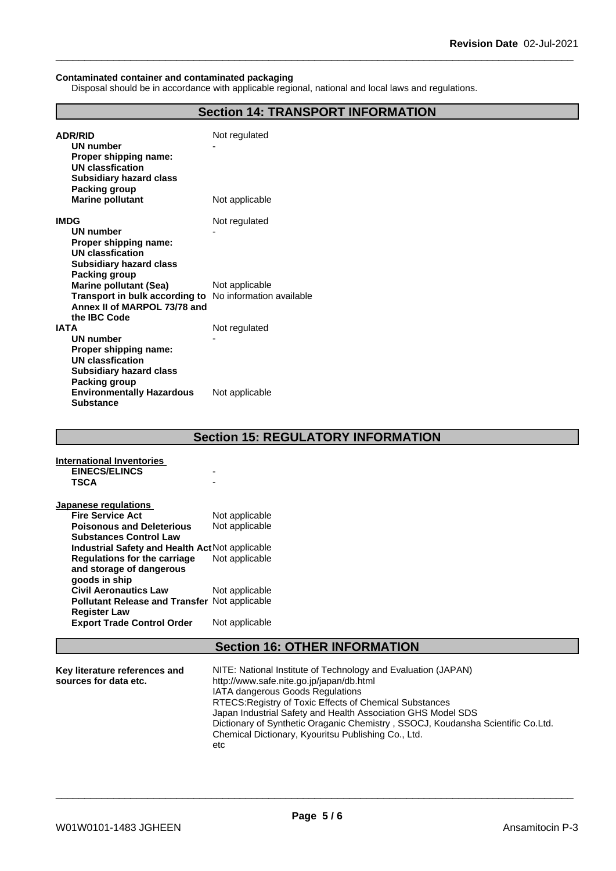#### **Contaminated container and contaminated packaging**

Disposal should be in accordance with applicable regional, national and local laws and regulations.

| <b>ADR/RID</b>                                                                           | Not regulated  |
|------------------------------------------------------------------------------------------|----------------|
| <b>UN number</b>                                                                         |                |
| Proper shipping name:                                                                    |                |
| <b>UN classfication</b>                                                                  |                |
| <b>Subsidiary hazard class</b>                                                           |                |
| <b>Packing group</b>                                                                     |                |
| <b>Marine pollutant</b>                                                                  | Not applicable |
| <b>IMDG</b>                                                                              | Not regulated  |
| <b>UN number</b>                                                                         |                |
| Proper shipping name:                                                                    |                |
| <b>UN classfication</b>                                                                  |                |
| <b>Subsidiary hazard class</b>                                                           |                |
| <b>Packing group</b>                                                                     |                |
| <b>Marine pollutant (Sea)</b><br>Transport in bulk according to No information available | Not applicable |
| Annex II of MARPOL 73/78 and                                                             |                |
| the IBC Code                                                                             |                |
| <b>IATA</b>                                                                              | Not regulated  |
| <b>UN number</b>                                                                         |                |
| Proper shipping name:                                                                    |                |
| <b>UN classfication</b>                                                                  |                |
| <b>Subsidiary hazard class</b>                                                           |                |
| <b>Packing group</b>                                                                     |                |
| <b>Environmentally Hazardous</b><br><b>Substance</b>                                     | Not applicable |

|                                                      | SECUCII IJ. ILESULATUR I INI URWATIUN                         |  |  |  |
|------------------------------------------------------|---------------------------------------------------------------|--|--|--|
| <b>International Inventories</b>                     |                                                               |  |  |  |
| <b>EINECS/ELINCS</b>                                 |                                                               |  |  |  |
| <b>TSCA</b>                                          |                                                               |  |  |  |
| Japanese regulations                                 |                                                               |  |  |  |
| <b>Fire Service Act</b>                              | Not applicable                                                |  |  |  |
| <b>Poisonous and Deleterious</b>                     | Not applicable                                                |  |  |  |
| <b>Substances Control Law</b>                        |                                                               |  |  |  |
| Industrial Safety and Health Act Not applicable      |                                                               |  |  |  |
| <b>Regulations for the carriage</b>                  | Not applicable                                                |  |  |  |
| and storage of dangerous                             |                                                               |  |  |  |
| goods in ship                                        |                                                               |  |  |  |
| <b>Civil Aeronautics Law</b>                         | Not applicable                                                |  |  |  |
| <b>Pollutant Release and Transfer Not applicable</b> |                                                               |  |  |  |
| <b>Register Law</b>                                  |                                                               |  |  |  |
| <b>Export Trade Control Order</b>                    | Not applicable                                                |  |  |  |
|                                                      |                                                               |  |  |  |
| <b>Section 16: OTHER INFORMATION</b>                 |                                                               |  |  |  |
|                                                      |                                                               |  |  |  |
| Key literature references and                        | NITE: National Institute of Technology and Evaluation (JAPAN) |  |  |  |
| sources for data etc.                                | http://www.safe.nite.go.jp/japan/db.html                      |  |  |  |
|                                                      | <b>IATA dangerous Goods Regulations</b>                       |  |  |  |

Chemical Dictionary, Kyouritsu Publishing Co., Ltd.

etc

RTECS:Registry of Toxic Effects of Chemical Substances

\_\_\_\_\_\_\_\_\_\_\_\_\_\_\_\_\_\_\_\_\_\_\_\_\_\_\_\_\_\_\_\_\_\_\_\_\_\_\_\_\_\_\_\_\_\_\_\_\_\_\_\_\_\_\_\_\_\_\_\_\_\_\_\_\_\_\_\_\_\_\_\_\_\_\_\_\_\_\_\_\_\_\_\_\_\_\_\_\_\_

Dictionary of Synthetic Oraganic Chemistry , SSOCJ, Koudansha Scientific Co.Ltd.

Japan Industrial Safety and Health Association GHS Model SDS